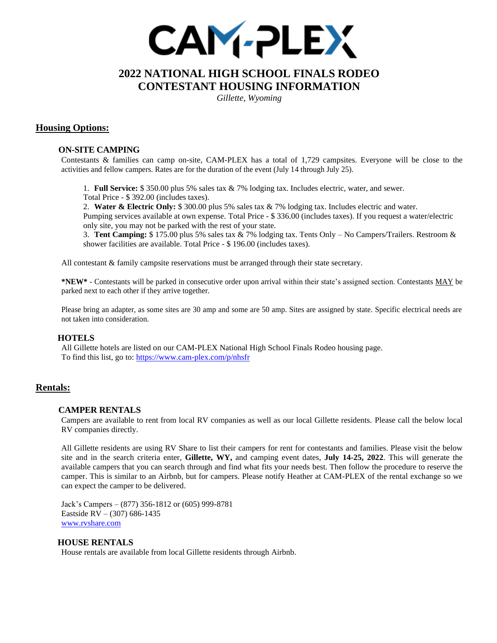

# **2022 NATIONAL HIGH SCHOOL FINALS RODEO CONTESTANT HOUSING INFORMATION**

*Gillette, Wyoming*

## **Housing Options:**

#### **ON-SITE CAMPING**

Contestants & families can camp on-site, CAM-PLEX has a total of 1,729 campsites. Everyone will be close to the activities and fellow campers. Rates are for the duration of the event (July 14 through July 25).

1. **Full Service:** \$ 350.00 plus 5% sales tax & 7% lodging tax. Includes electric, water, and sewer.

Total Price - \$ 392.00 (includes taxes).

2. **Water & Electric Only:** \$ 300.00 plus 5% sales tax & 7% lodging tax. Includes electric and water. Pumping services available at own expense. Total Price - \$ 336.00 (includes taxes). If you request a water/electric only site, you may not be parked with the rest of your state.

3. **Tent Camping:** \$ 175.00 plus 5% sales tax & 7% lodging tax. Tents Only – No Campers/Trailers. Restroom & shower facilities are available. Total Price - \$ 196.00 (includes taxes).

All contestant & family campsite reservations must be arranged through their state secretary.

**\*NEW\*** - Contestants will be parked in consecutive order upon arrival within their state's assigned section. Contestants MAY be parked next to each other if they arrive together.

Please bring an adapter, as some sites are 30 amp and some are 50 amp. Sites are assigned by state. Specific electrical needs are not taken into consideration.

#### **HOTELS**

All Gillette hotels are listed on our CAM-PLEX National High School Finals Rodeo housing page. To find this list, go to[: https://www.cam-plex.com/p/nhsfr](https://www.cam-plex.com/p/nhsfr)

## **Rentals:**

#### **CAMPER RENTALS**

Campers are available to rent from local RV companies as well as our local Gillette residents. Please call the below local RV companies directly.

All Gillette residents are using RV Share to list their campers for rent for contestants and families. Please visit the below site and in the search criteria enter, **Gillette, WY,** and camping event dates, **July 14-25, 2022**. This will generate the available campers that you can search through and find what fits your needs best. Then follow the procedure to reserve the camper. This is similar to an Airbnb, but for campers. Please notify Heather at CAM-PLEX of the rental exchange so we can expect the camper to be delivered.

Jack's Campers – (877) 356-1812 or (605) 999-8781 Eastside RV – (307) 686-1435 [www.rvshare.com](http://www.rvshare.com/)

#### **HOUSE RENTALS**

House rentals are available from local Gillette residents through Airbnb.